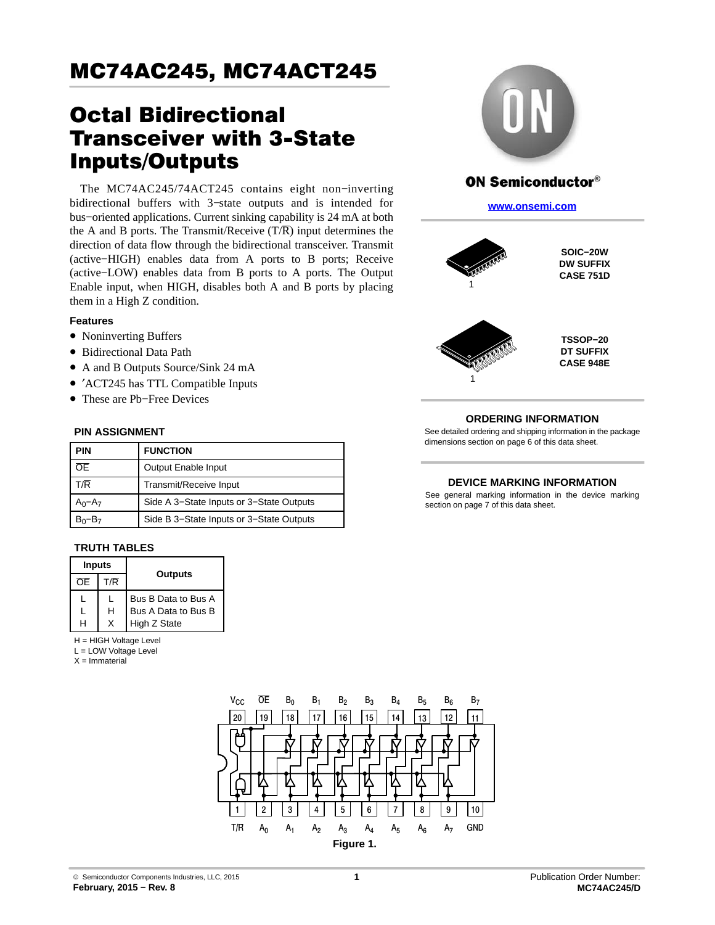# Octal Bidirectional Transceiver with 3-State Inputs/Outputs

The MC74AC245/74ACT245 contains eight non−inverting bidirectional buffers with 3−state outputs and is intended for bus−oriented applications. Current sinking capability is 24 mA at both the A and B ports. The Transmit/Receive  $(T/\overline{R})$  input determines the direction of data flow through the bidirectional transceiver. Transmit (active−HIGH) enables data from A ports to B ports; Receive (active−LOW) enables data from B ports to A ports. The Output Enable input, when HIGH, disables both A and B ports by placing them in a High Z condition.

#### **Features**

- Noninverting Buffers
- Bidirectional Data Path
- A and B Outputs Source/Sink 24 mA
- ′ACT245 has TTL Compatible Inputs
- These are Pb−Free Devices

#### **PIN ASSIGNMENT**

| <b>PIN</b>  | <b>FUNCTION</b>                          |  |  |  |
|-------------|------------------------------------------|--|--|--|
| 0E.         | Output Enable Input                      |  |  |  |
| T/R         | Transmit/Receive Input                   |  |  |  |
| $A_0 - A_7$ | Side A 3-State Inputs or 3-State Outputs |  |  |  |
|             | Side B 3-State Inputs or 3-State Outputs |  |  |  |

#### **TRUTH TABLES**

| <b>Inputs</b> |     |                     |  |
|---------------|-----|---------------------|--|
| ∩F            | T/R | Outputs             |  |
|               |     | Bus B Data to Bus A |  |
|               | н   | Bus A Data to Bus B |  |
|               |     | High Z State        |  |

H = HIGH Voltage Level

L = LOW Voltage Level

 $X =$ Immaterial





## **ON Semiconductor®**

**[www.onsemi.com]( http://www.onsemi.com/)**



**SOIC−20W DW SUFFIX CASE 751D**



**TSSOP−20 DT SUFFIX CASE 948E**

### **ORDERING INFORMATION**

See detailed ordering and shipping information in the package dimensions section on page [6](#page-5-0) of this data sheet.

#### **DEVICE MARKING INFORMATION**

See general marking information in the device marking section on page 7 of this data sheet.

© Semiconductor Components Industries, LLC, 2015 **February, 2015 − Rev. 8**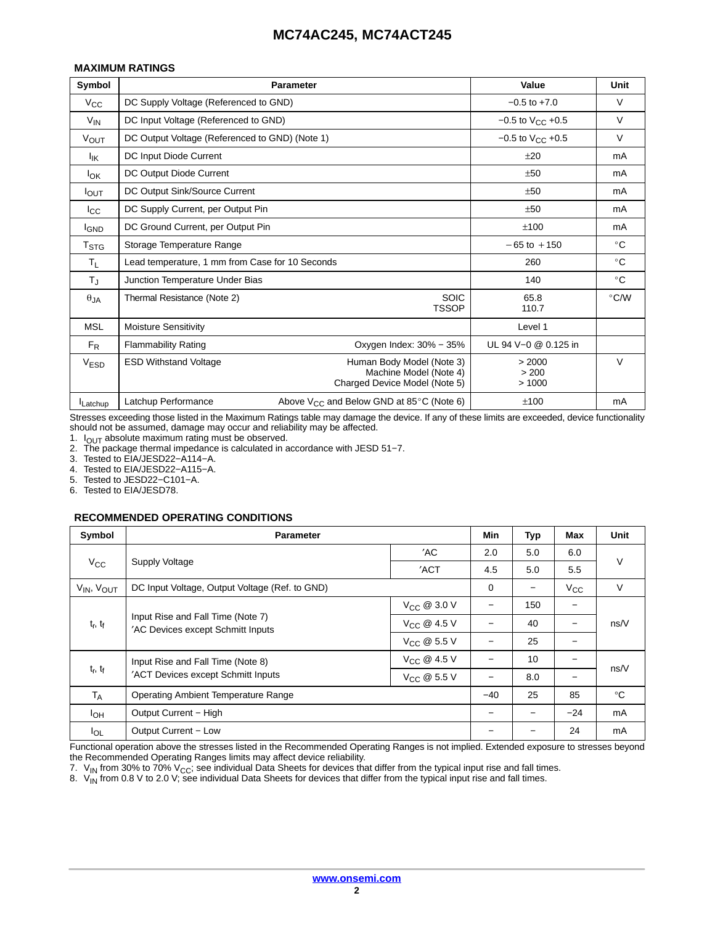#### **MAXIMUM RATINGS**

| Symbol           | <b>Parameter</b>                                | Value                                                                                | Unit                     |               |
|------------------|-------------------------------------------------|--------------------------------------------------------------------------------------|--------------------------|---------------|
| $V_{\rm CC}$     | DC Supply Voltage (Referenced to GND)           | $-0.5$ to $+7.0$                                                                     | V                        |               |
| $V_{IN}$         | DC Input Voltage (Referenced to GND)            | $-0.5$ to $V_{CC}$ +0.5                                                              | $\vee$                   |               |
| <b>VOUT</b>      | DC Output Voltage (Referenced to GND) (Note 1)  |                                                                                      | $-0.5$ to $V_{CC}$ +0.5  | $\vee$        |
| $I_{IK}$         | DC Input Diode Current                          |                                                                                      | ±20                      | mA            |
| <b>I</b> OK      | DC Output Diode Current                         |                                                                                      | ±50                      | mA            |
| $I_{\text{OUT}}$ | DC Output Sink/Source Current                   | ±50                                                                                  | mA                       |               |
| $_{\rm lcc}$     | DC Supply Current, per Output Pin               | ±50                                                                                  | mA                       |               |
| <b>I</b> GND     | DC Ground Current, per Output Pin               | ±100                                                                                 | mA                       |               |
| T <sub>STG</sub> | Storage Temperature Range                       | $-65$ to $+150$                                                                      | $^{\circ}$ C             |               |
| Τı.              | Lead temperature, 1 mm from Case for 10 Seconds | 260                                                                                  | $^{\circ}$ C             |               |
| $T_{\rm J}$      | Junction Temperature Under Bias                 |                                                                                      | 140                      | $^{\circ}$ C  |
| $\theta$ JA      | Thermal Resistance (Note 2)                     | <b>SOIC</b><br><b>TSSOP</b>                                                          | 65.8<br>110.7            | $\degree$ C/W |
| <b>MSL</b>       | <b>Moisture Sensitivity</b>                     |                                                                                      | Level 1                  |               |
| $F_R$            | <b>Flammability Rating</b>                      | Oxygen Index: $30\% - 35\%$                                                          | UL 94 V-0 @ 0.125 in     |               |
| <b>VESD</b>      | <b>ESD Withstand Voltage</b>                    | Human Body Model (Note 3)<br>Machine Model (Note 4)<br>Charged Device Model (Note 5) | > 2000<br>> 200<br>>1000 | V             |
| Latchup          | Latchup Performance                             | Above $V_{CC}$ and Below GND at 85 $\degree$ C (Note 6)                              | ±100                     | mA            |

Stresses exceeding those listed in the Maximum Ratings table may damage the device. If any of these limits are exceeded, device functionality should not be assumed, damage may occur and reliability may be affected.

1.  $I_{OUT}$  absolute maximum rating must be observed.

2. The package thermal impedance is calculated in accordance with JESD 51−7.

3. Tested to EIA/JESD22−A114−A.

4. Tested to EIA/JESD22−A115−A.

Tested to JESD22-C101-A.

6. Tested to EIA/JESD78.

#### **RECOMMENDED OPERATING CONDITIONS**

| Symbol                             | <b>Parameter</b>                                                       | Min                     | Typ                      | Max | Unit                     |              |
|------------------------------------|------------------------------------------------------------------------|-------------------------|--------------------------|-----|--------------------------|--------------|
|                                    |                                                                        | 'AC                     | 2.0                      | 5.0 | 6.0                      |              |
| $V_{\rm CC}$                       | <b>Supply Voltage</b>                                                  | 'ACT                    | 4.5                      | 5.0 | 5.5                      | $\vee$       |
| V <sub>IN</sub> , V <sub>OUT</sub> | DC Input Voltage, Output Voltage (Ref. to GND)                         |                         | 0                        | —   | $V_{\rm CC}$             | $\vee$       |
|                                    |                                                                        | $V_{\text{CC}}$ @ 3.0 V |                          | 150 | -                        |              |
| $t_r$ , $t_f$                      | Input Rise and Fall Time (Note 7)<br>'AC Devices except Schmitt Inputs | $V_{\text{CC}}$ @ 4.5 V |                          | 40  | $\overline{\phantom{0}}$ | ns/V         |
|                                    |                                                                        | $V_{\text{CC}}$ @ 5.5 V |                          | 25  | -                        |              |
|                                    | Input Rise and Fall Time (Note 8)                                      | $V_{\text{CC}}$ @ 4.5 V | $\overline{\phantom{0}}$ | 10  | $\qquad \qquad -$        | ns/V         |
| $t_r$ , $t_f$                      | 'ACT Devices except Schmitt Inputs<br>$V_{\text{CC}}$ @ 5.5 V          |                         |                          | 8.0 | $\qquad \qquad -$        |              |
| $T_A$                              | <b>Operating Ambient Temperature Range</b>                             |                         |                          | 25  | 85                       | $^{\circ}$ C |
| $I_{OH}$                           | Output Current - High                                                  |                         |                          |     | $-24$                    | mA           |
| $I_{OL}$                           | Output Current - Low                                                   |                         |                          |     | 24                       | mA           |

Functional operation above the stresses listed in the Recommended Operating Ranges is not implied. Extended exposure to stresses beyond the Recommended Operating Ranges limits may affect device reliability.

7.  $\rm V_{IN}$  from 30% to 70% V<sub>CC</sub>; see individual Data Sheets for devices that differ from the typical input rise and fall times.

8.  $\ V_{\sf IN}$  from 0.8 V to 2.0 V; see individual Data Sheets for devices that differ from the typical input rise and fall times.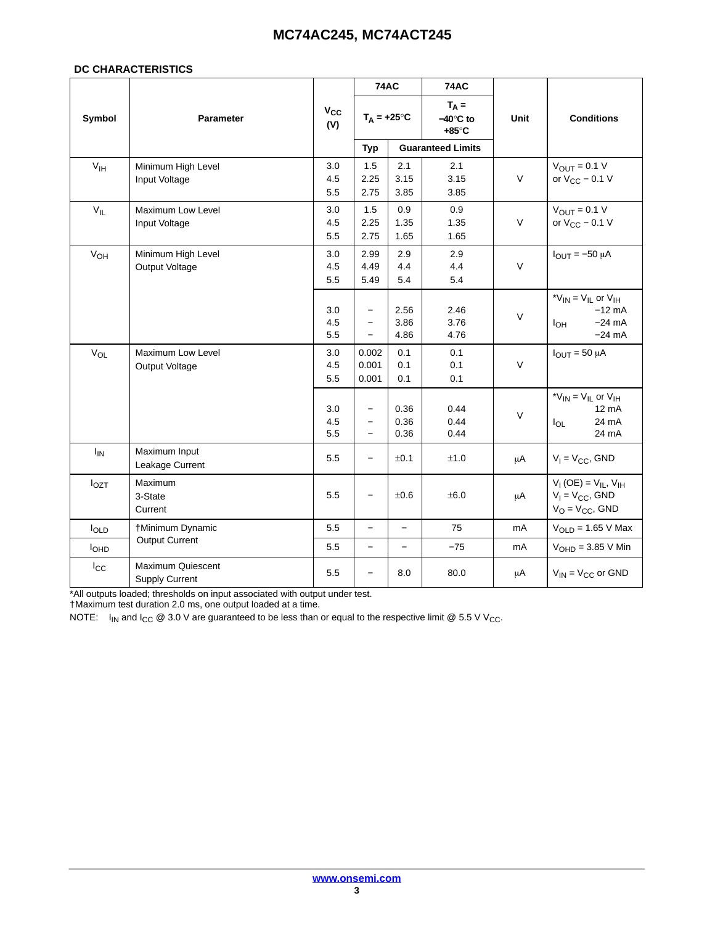#### **DC CHARACTERISTICS**

|                 | <b>74AC</b>                                |                   | <b>74AC</b>                                                               |                      |                                                |             |                                                                                           |
|-----------------|--------------------------------------------|-------------------|---------------------------------------------------------------------------|----------------------|------------------------------------------------|-------------|-------------------------------------------------------------------------------------------|
| Symbol          | <b>Parameter</b>                           | Vcc<br>(V)        | $T_A = +25^\circ C$                                                       |                      | $T_A =$<br>$-40^\circ C$ to<br>$+85^{\circ}$ C | <b>Unit</b> | <b>Conditions</b>                                                                         |
|                 |                                            |                   | <b>Typ</b>                                                                |                      | <b>Guaranteed Limits</b>                       |             |                                                                                           |
| V <sub>IH</sub> | Minimum High Level<br>Input Voltage        | 3.0<br>4.5<br>5.5 | 1.5<br>2.25<br>2.75                                                       | 2.1<br>3.15<br>3.85  | 2.1<br>3.15<br>3.85                            | $\vee$      | $V_{\text{OUT}} = 0.1 V$<br>or $V_{CC}$ – 0.1 V                                           |
| $V_{IL}$        | Maximum Low Level<br>Input Voltage         | 3.0<br>4.5<br>5.5 | 1.5<br>2.25<br>2.75                                                       | 0.9<br>1.35<br>1.65  | 0.9<br>1.35<br>1.65                            | $\vee$      | $V_{\text{OUT}} = 0.1 V$<br>or $V_{CC}$ – 0.1 V                                           |
| V <sub>OH</sub> | Minimum High Level<br>Output Voltage       | 3.0<br>4.5<br>5.5 | 2.99<br>4.49<br>5.49                                                      | 2.9<br>4.4<br>5.4    | 2.9<br>4.4<br>5.4                              | $\vee$      | $I_{OUT} = -50 \mu A$                                                                     |
|                 |                                            | 3.0<br>4.5<br>5.5 | $\qquad \qquad -$<br>$\overline{\phantom{0}}$<br>$\overline{\phantom{0}}$ | 2.56<br>3.86<br>4.86 | 2.46<br>3.76<br>4.76                           | $\vee$      | * $V_{IN}$ = $V_{IL}$ or $V_{IH}$<br>$-12$ mA<br>$-24 \text{ mA}$<br>$I_{OH}$<br>$-24$ mA |
| $V_{OL}$        | Maximum Low Level<br>Output Voltage        | 3.0<br>4.5<br>5.5 | 0.002<br>0.001<br>0.001                                                   | 0.1<br>0.1<br>0.1    | 0.1<br>0.1<br>0.1                              | $\vee$      | $I_{\text{OUT}} = 50 \mu A$                                                               |
|                 |                                            | 3.0<br>4.5<br>5.5 | $\qquad \qquad -$<br>$\qquad \qquad -$<br>$\qquad \qquad -$               | 0.36<br>0.36<br>0.36 | 0.44<br>0.44<br>0.44                           | $\vee$      | * $V_{IN}$ = $V_{IL}$ or $V_{IH}$<br>$12 \text{ mA}$<br>24 mA<br>$I_{OL}$<br>24 mA        |
| $I_{IN}$        | Maximum Input<br>Leakage Current           | 5.5               |                                                                           | ±0.1                 | ±1.0                                           | μA          | $V_1 = V_{CC}$ , GND                                                                      |
| $I_{OZT}$       | Maximum<br>3-State<br>Current              | 5.5               | $\qquad \qquad -$                                                         | $\pm 0.6$            | ±6.0                                           | μA          | $V_1(OE) = V_{IL}$ , $V_{IH}$<br>$V_1 = V_{CC}$ , GND<br>$V_O = V_{CC}$ , GND             |
| $I_{OLD}$       | †Minimum Dynamic                           | 5.5               | $\overline{\phantom{0}}$                                                  |                      | 75                                             | mA          | $V_{OLD}$ = 1.65 V Max                                                                    |
| <b>I</b> OHD    | <b>Output Current</b>                      | 5.5               | $\overline{\phantom{0}}$                                                  |                      | $-75$                                          | mA          | $VOHD = 3.85 V Min$                                                                       |
| $I_{\rm CC}$    | Maximum Quiescent<br><b>Supply Current</b> | 5.5               | $\qquad \qquad -$                                                         | 8.0                  | 80.0                                           | μA          | $V_{IN} = V_{CC}$ or GND                                                                  |

\*All outputs loaded; thresholds on input associated with output under test.

†Maximum test duration 2.0 ms, one output loaded at a time.

NOTE:  $I_{\text{IN}}$  and I<sub>CC</sub> @ 3.0 V are guaranteed to be less than or equal to the respective limit @ 5.5 V V<sub>CC</sub>.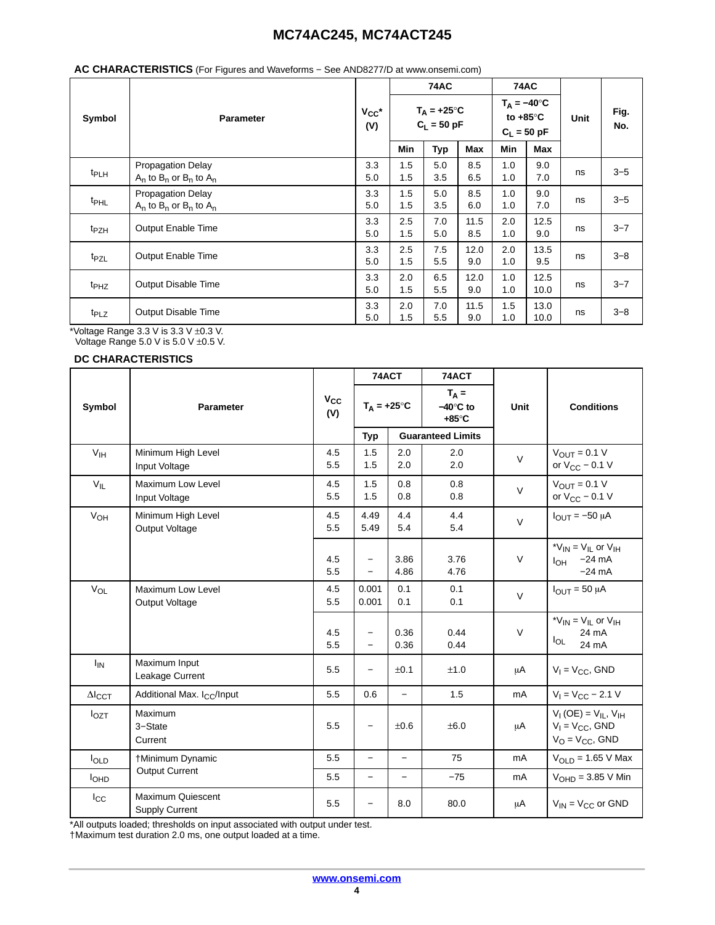#### **AC CHARACTERISTICS** (For Figures and Waveforms − See AND8277/D at www.onsemi.com)

| Symbol<br><b>Parameter</b> |                                                              |                   |                                       | <b>74AC</b> |             | <b>74AC</b>                                                |              |      |             |
|----------------------------|--------------------------------------------------------------|-------------------|---------------------------------------|-------------|-------------|------------------------------------------------------------|--------------|------|-------------|
|                            |                                                              | $V_{CC}$ *<br>(V) | $T_A = +25^{\circ}C$<br>$C_L = 50$ pF |             |             | $T_A = -40^\circ C$<br>to $+85^{\circ}$ C<br>$C_L = 50$ pF |              | Unit | Fig.<br>No. |
|                            |                                                              |                   | <b>Min</b>                            | <b>Typ</b>  | <b>Max</b>  | Min                                                        | Max          |      |             |
| $t_{PLH}$                  | <b>Propagation Delay</b><br>$A_n$ to $B_n$ or $B_n$ to $A_n$ | 3.3<br>5.0        | 1.5<br>1.5                            | 5.0<br>3.5  | 8.5<br>6.5  | 1.0<br>1.0                                                 | 9.0<br>7.0   | ns   | $3 - 5$     |
| t <sub>PHL</sub>           | <b>Propagation Delay</b><br>$A_n$ to $B_n$ or $B_n$ to $A_n$ | 3.3<br>5.0        | 1.5<br>1.5                            | 5.0<br>3.5  | 8.5<br>6.0  | 1.0<br>1.0                                                 | 9.0<br>7.0   | ns   | $3 - 5$     |
| t <sub>PZH</sub>           | Output Enable Time                                           | 3.3<br>5.0        | 2.5<br>1.5                            | 7.0<br>5.0  | 11.5<br>8.5 | 2.0<br>1.0                                                 | 12.5<br>9.0  | ns   | $3 - 7$     |
| t <sub>PZL</sub>           | <b>Output Enable Time</b>                                    | 3.3<br>5.0        | 2.5<br>1.5                            | 7.5<br>5.5  | 12.0<br>9.0 | 2.0<br>1.0                                                 | 13.5<br>9.5  | ns   | $3 - 8$     |
| $t_{PHZ}$                  | Output Disable Time                                          | 3.3<br>5.0        | 2.0<br>1.5                            | 6.5<br>5.5  | 12.0<br>9.0 | 1.0<br>1.0                                                 | 12.5<br>10.0 | ns   | $3 - 7$     |
| t <sub>PLZ</sub>           | <b>Output Disable Time</b>                                   | 3.3<br>5.0        | 2.0<br>1.5                            | 7.0<br>5.5  | 11.5<br>9.0 | 1.5<br>1.0                                                 | 13.0<br>10.0 | ns   | $3 - 8$     |

\*Voltage Range 3.3 V is 3.3 V ±0.3 V.

Voltage Range 5.0 V is  $5.0$  V  $\pm 0.5$  V.

#### **DC CHARACTERISTICS**

|                           |                                            |                 | 74ACT                                         |                          | 74ACT                                          |        |                                                                               |
|---------------------------|--------------------------------------------|-----------------|-----------------------------------------------|--------------------------|------------------------------------------------|--------|-------------------------------------------------------------------------------|
| Symbol                    | <b>Parameter</b>                           | $V_{CC}$<br>(V) | $T_A = +25^\circ C$                           |                          | $T_A =$<br>$-40^\circ$ C to<br>$+85^{\circ}$ C | Unit   | <b>Conditions</b>                                                             |
|                           |                                            |                 | <b>Typ</b>                                    |                          | <b>Guaranteed Limits</b>                       |        |                                                                               |
| V <sub>IH</sub>           | Minimum High Level<br>Input Voltage        | 4.5<br>5.5      | 1.5<br>1.5                                    | 2.0<br>2.0               | 2.0<br>2.0                                     | $\vee$ | $V_{\text{OUT}} = 0.1 V$<br>or $V_{CC}$ – 0.1 V                               |
| $V_{IL}$                  | <b>Maximum Low Level</b><br>Input Voltage  | 4.5<br>5.5      | 1.5<br>1.5                                    | 0.8<br>0.8               | 0.8<br>0.8                                     | $\vee$ | $V_{OUT} = 0.1 V$<br>or $V_{CC}$ – 0.1 V                                      |
| <b>V<sub>OH</sub></b>     | Minimum High Level<br>Output Voltage       | 4.5<br>5.5      | 4.49<br>5.49                                  | 4.4<br>5.4               | 4.4<br>5.4                                     | $\vee$ | $I_{\text{OUT}} = -50 \mu A$                                                  |
|                           |                                            | 4.5<br>5.5      | $\qquad \qquad -$<br>$\overline{\phantom{0}}$ | 3.86<br>4.86             | 3.76<br>4.76                                   | $\vee$ | * $V_{IN}$ = $V_{IL}$ or $V_{IH}$<br>$I_{OH}$ -24 mA<br>$-24$ mA              |
| V <sub>OL</sub>           | <b>Maximum Low Level</b><br>Output Voltage | 4.5<br>5.5      | 0.001<br>0.001                                | 0.1<br>0.1               | 0.1<br>0.1                                     | $\vee$ | $I_{\text{OUT}} = 50 \mu A$                                                   |
|                           |                                            | 4.5<br>5.5      | $\overline{\phantom{0}}$                      | 0.36<br>0.36             | 0.44<br>0.44                                   | $\vee$ | * $V_{IN}$ = $V_{IL}$ or $V_{IH}$<br>24 mA<br>$I_{OL}$<br>24 mA               |
| $I_{IN}$                  | Maximum Input<br>Leakage Current           | 5.5             | —                                             | $\pm 0.1$                | ±1.0                                           | μA     | $V_1 = V_{CC}$ , GND                                                          |
| $\Delta I$ <sub>CCT</sub> | Additional Max. I <sub>CC</sub> /Input     | 5.5             | 0.6                                           | $\overline{\phantom{0}}$ | 1.5                                            | mA     | $V_1 = V_{CC} - 2.1 V$                                                        |
| $I_{OZT}$                 | Maximum<br>3-State<br>Current              | 5.5             | $\overline{\phantom{0}}$                      | ±0.6                     | ±6.0                                           | μA     | $V_1(OE) = V_{IL}$ , $V_{IH}$<br>$V_1 = V_{CC}$ , GND<br>$V_O = V_{CC}$ , GND |
| loLD                      | †Minimum Dynamic                           | 5.5             | $\qquad \qquad -$                             | $\qquad \qquad -$        | 75                                             | mA     | $V_{OLD}$ = 1.65 V Max                                                        |
| I <sub>OHD</sub>          | <b>Output Current</b>                      | 5.5             | $\qquad \qquad -$                             | $\qquad \qquad -$        | $-75$                                          | mA     | $VOHD = 3.85 V Min$                                                           |
| $I_{\rm CC}$              | Maximum Quiescent<br><b>Supply Current</b> | 5.5             | $\overline{\phantom{0}}$                      | 8.0                      | 80.0                                           | μA     | $V_{IN} = V_{CC}$ or GND                                                      |

\*All outputs loaded; thresholds on input associated with output under test.

†Maximum test duration 2.0 ms, one output loaded at a time.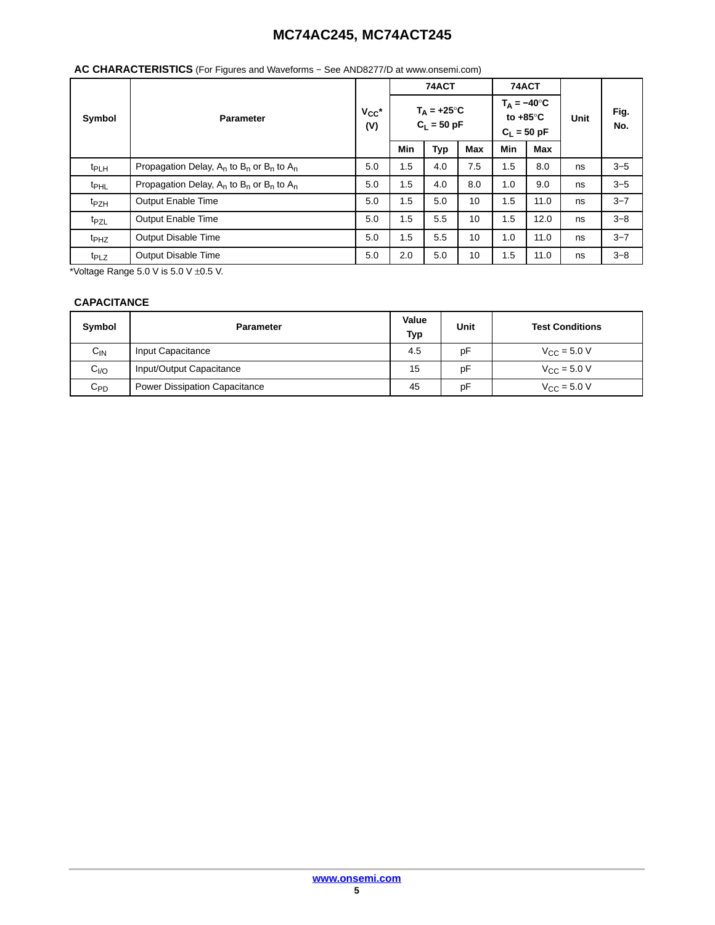#### **Symbol Parameter VCC\* (V) 74ACT 74ACT Unit Fig. No.**  $T_A = +25^\circ C$ **CL = 50 pF**  $T_A = -40^\circ C$ **to +85**°**C**  $C_L = 50$  pF **Min Typ Max Min Max** t<sub>PLH</sub> Propagation Delay, A<sub>n</sub> to B<sub>n</sub> or B<sub>n</sub> to A<sub>n</sub> 5.0 1.5 4.0 7.5 1.5 8.0 ns 3–5 t<sub>PHL</sub> Propagation Delay, A<sub>n</sub> to B<sub>n</sub> or B<sub>n</sub> to A<sub>n</sub> 5.0 1.5 4.0 8.0 1.0 9.0 ns 3–5 t<sub>PZH</sub> Output Enable Time 5.0 | 1.5 | 5.0 | 1.5 | 1.5 | 11.0 | ns | 3–7 t<sub>PZL</sub> Output Enable Time 5.0 1.5 | 5.5 | 10 | 1.5 | 12.0 | ns | 3–8 t<sub>PHZ</sub> Output Disable Time 5.0 1.5 | 5.5 | 10 | 1.0 | 11.0 | ns | 3–7 t<sub>PLZ</sub> Output Disable Time 5.0 2.0 5.0 10 1.5 11.0 ns 3–8

## **AC CHARACTERISTICS** (For Figures and Waveforms − See AND8277/D at www.onsemi.com)

\*Voltage Range  $5.0$  V is  $5.0$  V  $\pm 0.5$  V.

### **CAPACITANCE**

| Symbol            | <b>Parameter</b>                     | Value<br><b>Typ</b> | Unit | <b>Test Conditions</b>          |
|-------------------|--------------------------------------|---------------------|------|---------------------------------|
| $C_{\mathsf{IN}}$ | Input Capacitance                    | 4.5                 | рF   | $V_{C}$ = 5.0 V                 |
| C <sub>I/O</sub>  | Input/Output Capacitance             | 15                  | pF   | $V_{\text{CC}} = 5.0 \text{ V}$ |
| $C_{PD}$          | <b>Power Dissipation Capacitance</b> | 45                  | pF   | $V_{\text{CC}} = 5.0 \text{ V}$ |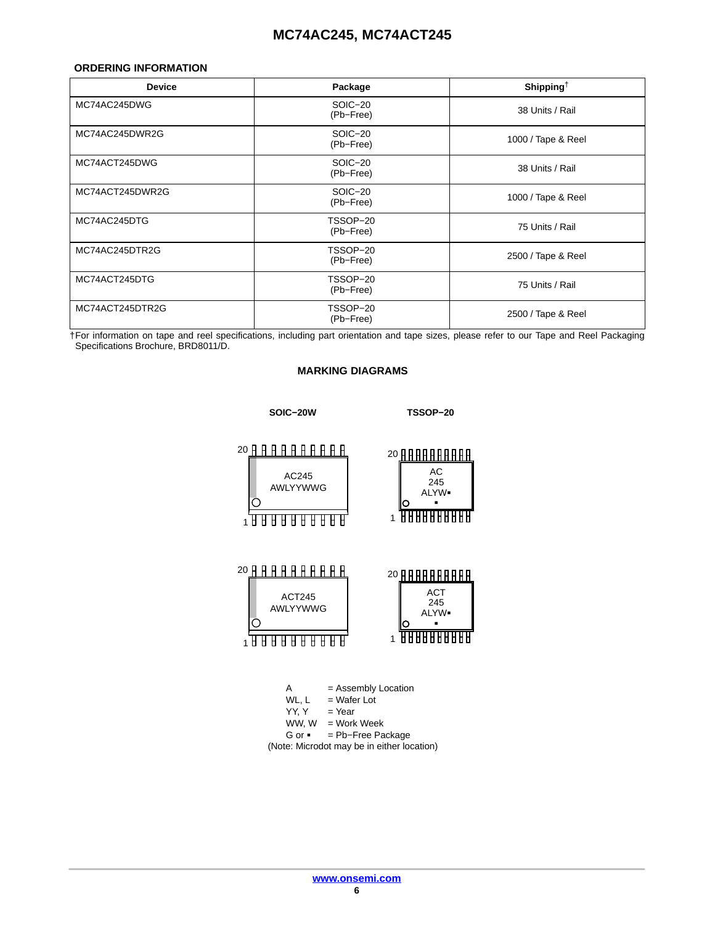#### <span id="page-5-0"></span>**ORDERING INFORMATION**

| <b>Device</b>   | Package               | Shipping <sup><math>\dagger</math></sup> |
|-----------------|-----------------------|------------------------------------------|
| MC74AC245DWG    | SOIC-20<br>(Pb-Free)  | 38 Units / Rail                          |
| MC74AC245DWR2G  | SOIC-20<br>(Pb-Free)  | 1000 / Tape & Reel                       |
| MC74ACT245DWG   | SOIC-20<br>(Pb-Free)  | 38 Units / Rail                          |
| MC74ACT245DWR2G | SOIC-20<br>(Pb-Free)  | 1000 / Tape & Reel                       |
| MC74AC245DTG    | TSSOP-20<br>(Pb-Free) | 75 Units / Rail                          |
| MC74AC245DTR2G  | TSSOP-20<br>(Pb-Free) | 2500 / Tape & Reel                       |
| MC74ACT245DTG   | TSSOP-20<br>(Pb-Free) | 75 Units / Rail                          |
| MC74ACT245DTR2G | TSSOP-20<br>(Pb-Free) | 2500 / Tape & Reel                       |

†For information on tape and reel specifications, including part orientation and tape sizes, please refer to our Tape and Reel Packaging Specifications Brochure, BRD8011/D.

#### **MARKING DIAGRAMS**



- WL,  $L$  = Wafer Lot<br>YY, Y = Year
- $=$  Year
- $WW, W = Work Week$
- G or = Pb−Free Package (Note: Microdot may be in either location)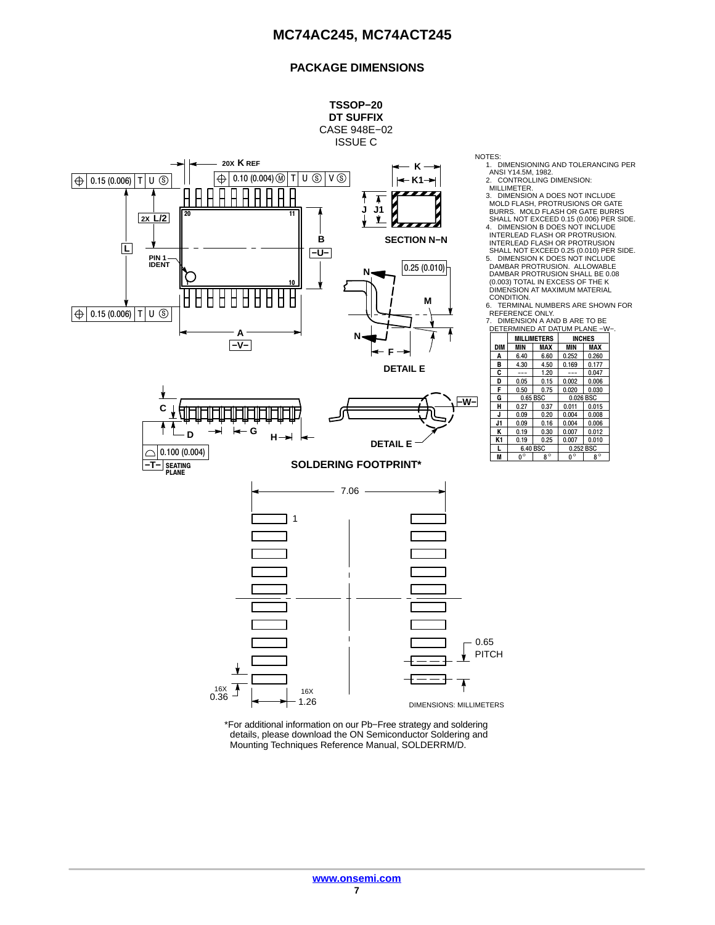### **PACKAGE DIMENSIONS**